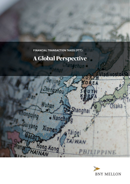experimental vendias dollars dollars dollars (FTT): **FINANCIAL TRANSACTION TAXES (FTT):** 

ne dolupti idi consequenza et ut eum re veliculost, eum re veliculost, eum re veliculost, eum re veliculost, e offic temoluptatus quae eatemperum aut eos dolupturio. Hil ipsumquatem sint,

# **A Global Perspective**



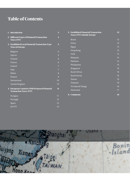## **Table of Contents**

| 1. Introduction                                                                 | 3              |
|---------------------------------------------------------------------------------|----------------|
| 2. Different Types of Financial Transaction<br><b>Taxes (FTT)</b>               | $\overline{4}$ |
| 3. Established Local Financial Transaction Type<br><b>Taxes in Europe</b>       | 5              |
| Belgium                                                                         | 5              |
| Cyprus                                                                          | 5              |
| Finland                                                                         | 6              |
| France                                                                          | 6              |
| Ireland                                                                         | 7              |
| Italy                                                                           | 7              |
| Malta                                                                           | 8              |
| Poland                                                                          | 9              |
| Switzerland                                                                     | 10             |
| <b>United Kingdom</b>                                                           | 10             |
| 4. European Countries With Proposed Financial<br><b>Transaction Taxes (FTT)</b> | ſſ             |
| Hungary                                                                         | 11             |
| Portugal                                                                        | 12             |
| Spain                                                                           | 12             |
| <b>EU FTT</b>                                                                   | 12             |

| <b>5. Established Financial Transaction</b><br><b>Taxes (FTT) Outside Europe</b> | 12 |
|----------------------------------------------------------------------------------|----|
| <b>Brazil</b>                                                                    | 12 |
| China                                                                            | 13 |
| Egypt                                                                            | 13 |
| Hong Kong                                                                        | 13 |
| India                                                                            | 14 |
| Malaysia                                                                         | 14 |
| Pakistan                                                                         | 14 |
| Philippines                                                                      | 15 |
| Singapore                                                                        | 15 |
| South Africa                                                                     | 15 |
| South Korea                                                                      | 15 |
| Taiwan                                                                           | 16 |
| <b>Thailand</b>                                                                  | 16 |
| Trinidad & Tobago                                                                | 16 |
| Venezuela                                                                        | 17 |
| <b>6. Comments</b>                                                               | 18 |

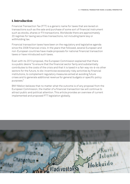## **1. Introduction**

Financial Transaction Tax (FTT) is a generic name for taxes that are levied on transactions such as the sale and purchase of some sort of financial instrument such as stocks, shares or FX transactions. Worldwide there are approximately 20 regimes for taxing securities transactions, not including bank levy or withholding tax.

Financial transaction taxes have been on the regulatory and legislative agenda since the 2008 financial crisis. In the years that followed, several European and non-European countries have made proposals for national financial transaction taxes or have introduced such taxes.

Even with its 2013 proposal, the European Commission explained that there is a public desire "to ensure that the financial sector fairly and substantially contributes to the costs of the crisis and that it is taxed in a fair way vis-à-vis other sectors for the future, to dis-incentivise excessively risky activities by financial institutions, to complement regulatory measures aimed at avoiding future crises and to generate additional revenue for general budgets or specific policy purposes."

BNY Mellon believes that no matter what the outcome is of any proposal from the European Commission, the matter of a financial transaction tax will continue to attract public and political attention. This article provides an overview of current implemented and proposed FTT legislation globally.

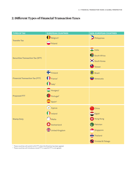## **2. Different Types of Financial Transaction Taxes**

| <b>TYPES OF TAX</b>                     | <b>EUROPEAN COUNTRIES</b>                                                              | <b>NON-EUROPEAN COUNTRIES</b>                                                                                            |  |
|-----------------------------------------|----------------------------------------------------------------------------------------|--------------------------------------------------------------------------------------------------------------------------|--|
| <b>Transfer Tax</b>                     | Belgium <sup>1</sup><br>Poland                                                         | Philippines                                                                                                              |  |
| <b>Securities Transaction Tax (STT)</b> |                                                                                        | <b>O</b> India<br>South Africa<br><b>South Korea</b><br>Taiwan                                                           |  |
| <b>Financial Transaction Tax (FTT)</b>  | Finland<br>France <sup>1</sup><br>$\bigcap$ Italy <sup>1</sup>                         | Brazil<br>Venezuela                                                                                                      |  |
| <b>Proposed FTT</b>                     | $\bigoplus$ Hungary <sup>2</sup><br>Portugal <sup>2</sup><br>$\sum$ Spain <sup>2</sup> |                                                                                                                          |  |
| <b>Stamp Duty</b>                       | Cyprus<br><b>D</b> Ireland<br>Malta<br>Switzerland<br><b>MA</b><br>Virited Kingdom     | China<br><b>B</b><br>Egypt<br><b>St</b> Hong Kong<br><sup>C</sup> Pakistan<br>Singapore<br>Thailand<br>Trinidad & Tobago |  |

<sup>1</sup> These countries will switch to EU FTT when the Directive has been agreed.

 $2$  These countries will introduce a local FTT in case EU FTT is not agreed.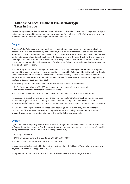## **3. Established Local Financial Transaction Type Taxes in Europe**

Several European countries have already enacted taxes on financial transactions. The persons subject to tax, the tax rate, and in-scope transactions are unique for each market. The following is an overview of how each European state has designed their respective FTT's.

#### **Belgium**

Since 2007, the Belgian government has imposed a stock exchange tax on the purchase and sale of secondary market securities (newly issued shares, however, are exempted). Over time this has been amended on several occasions. The scope of this tax includes transactions of stocks and bonds as well as the redemption of capitalisation shares of Collective Investment Funds (CIVs). For the tax to apply, the Belgian residence of financial intermediaries is a key element to determine whether a transaction is in scope, such that it has to be executed in Belgium via a Belgian intermediary and at least one party must be a Belgian resident.

With the adoption of the 2017 budget on December 22, 2016, by the Belgian parliament, the legislator expanded the scope of the tax to cover transactions executed by Belgian residents through non-Belgian financial intermediaries. Under the new regime, effective January 1, 2017, the tax rates remain the same, however the maximum amounts have been doubled. The tax rates applicable vary depending on the type of security purchased and sold:

- 0.09 % (up to a maximum of €1,300 per transaction) for transactions in bonds
- 0.27% (up to a maximum of €1,600 per transaction) for transactions in shares and certificates of certain contractual investment funds
- 1.32% (up to a maximum of €4,000 per transaction) for transactions in investment funds

Transactions exempt from the tax include those that financial institutions (such as banks, insurance companies, organisations for financing pensions and undertakings for collective investments) undertake on their own account, and also those made on their own account by non-resident taxpayers.

In 2003, the Belgian government proposed a law applying a 0.02% tax on the gross amount for FX transactions. This proposal, however, was dependent on the tax being implemented by the wider EU area and, as such, has not yet been implemented by the Belgian government.

#### **Cyprus**

Cyprus imposes stamp duty on written contracts relating to the purchase or sale of property or assets in Cyprus. Securities issued by Cypriot corporations, and agreements in relation to the sale of securities of Cypriot corporations, also fall within the scope of the duty.

The stamp duty rate is:

- 0.15% on transactions with amounts from €5,001 to €170,000
- 0.20% on transactions with amounts above €170,001

If no consideration is specified in the contract, a stamp duty of €35 is due. The maximum stamp duty payable on a contract is capped at € 20,000.

An agreement for the sale of a security listed on a recognised stock exchange is exempt.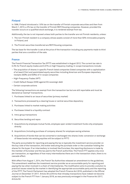#### **Finland**

In 1996, Finland introduced a 1.6% tax on the transfer of Finnish corporate securities and then from March 1, 2013, a 2% tax on the transfer of Finnish REIT/Housing companies. However, provided the transfer occurs on a qualified stock exchange, it is rendered exempt from tax.

Additionally, the tax is not imposed unless both parties to the transfer are not Finnish residents, unless:

- 1. The non-Finnish resident is a company whose assets consist of more than 50% immovable property in Finland, and
- 2. The Finnish securities transferred are REIT/Housing companies.

The tax base for the transfer is set at the price of the transaction including any payments made to third parties that are a condition of the sale.

#### **France**

The French Financial Transaction Tax (FFTT) was established in August 2012. The current tax rate is 0.3% for French equity trades and 0.01% on high frequency trading. In-scope transactions include:

- The acquisition of shares in specific French listed companies (listed companies with a capitalization of at least €1bn) and assimilated equity securities including American and European depositary receipts (ADRs and EDRs) of in-scope companies
- High-Frequency-Trades (HFT)
- Credit Default Swaps (CDS) against EU sovereign debt
- Certain corporate actions

The following transactions are exempt from the transaction tax but are still reportable and must be declared as 'exempt' transactions.

- 1. Purchases linked to an issue of securities (primary market)
- 2. Transactions processed by a clearing house or central securities depository
- 3. Purchases linked to market making activities
- 4. Purchases linked to a liquidity contract
- 5. Intra-group transactions
- 6. Securities lending and repos
- 7. Acquisitions by employee mutual funds, employee open-ended investment funds orby employees directly
- 8. Acquisitions (including purchase of company shares) for employee saving schemes
- 9. Acquisitions of bonds that can be converted or exchanged into shares (note: conversion or exchange of these bonds into existing equities will be subject to FFTT)

The party accountable for reporting and paying the tax is typically the investment service provider on the buy-side of the transaction, the broker executing the purchase order or the custodian holding the shares for the buyer. If an intermediary is involved like Euroclear, the reporting disclosure is made by the member of Euroclear and the tax paid to the French authorities. The French FTT applies only once per transaction, so regardless of how many intermediaries there are in the transaction chain, there is no cascade effect.

With effect from August 1, 2014, the French Tax Authorities released an amendment to the guidelines. This amendment redefines the investment service provider as an accountable party for reporting and paying the tax when involved in a chain of intermediaries. The modification aims to provide a solution to practical issues raised by the market in identifying the appropriate accountable party and the reporting of the FFTT. The French Parliament has adopted the French Finance Act 2018, published in the Official Journal on December 31 2017. Article 39 confirms that intraday transactions have indeed not become subject to the French FTT from 1 January 2018, as was previously envisaged in the Finance Act 2017, Article 62.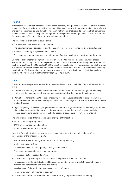#### **Ireland**

A transfer of stock or marketable securities of any company incorporated in Ireland is liable to a stamp duty at 1% of the consideration paid. In practice, this means that the duty mainly applies to transfers of shares in Irish companies and derivative financial instruments that relate to shares in Irish companies. If an electronic transfer takes place through the CREST system a 1% charge arises as well. The liability for the payment of the tax belongs to the purchaser/transferee.

The following are exempt from stamp duty:

- The transfer of shares valued under €1,000
- The transfer from one company to another as part of a corporate reconstruction or amalgamation
- Securities issued by the government or the EU
- The issuance, transfer, repurchase or redemption of units of a collective investment undertaking

On June 5, 2017, another exemption came into effect. The Minster for Finance announced that an exemption from stamp duty would be granted on the transfer of shares in Irish companies admitted to the Enterprise Securities Market (ESM) of the Irish Stock Exchange. This new provision brings the stamp duty treatment of Irish growth companies in line with the treatment of similar UK companies, following the abolition of UK stamp duty on transfers of shares in UK companies listed on the UK equivalent to the ESM, the Alternative Investment Market (AIM), in April 2014.

#### **Italy**

There are three categories of transactions considered in-scope for the Italian Financial Transaction Tax  $(IFTT)$ :

- 1. Shares, participating financial instruments and other instruments representing those issued by Italian-resident companies with an average market capitalization greater than €500mn
- 2. Derivatives, if more than 50% of their underlying reference value relates to in-scope Italian shares, or is referenced to the value of in-scope Italian shares, including options, warrants, covered warrants and certificates
- 3. High-Frequency-Trades (HFT), as generated by a computer algorithm that automatically determines the decisions related to the relevant orders or metrics, where the ratio of orders amended or cancelled, in a time frame shorter than half a second exceeds 60% of total orders entered

The rate of tax applied differs depending on the type of transaction:

- 0.02% on high frequency trades
- 0.10% on exchanged traded equities
- 0.20% on over-the-counter equities

Note that for equity trades, the taxable base is calculated using the net daily balance of the transactions of the final counterparty.

There are several exemptions granted for IFTT withholding, including:

- Market-making activities
- Transactions to ensure the liquidity of newly issued shares
- Purchases by pension funds and similar entities
- Transactions between related parties
- Transactions on qualifying "ethical" or "socially-responsible" financial products
- Transactions with the EU, ECB, Central banks of EU member states or institutions established by international agreements, and executed by Italy
- New issuance of shares, including upon conversion of bonds
- Transfers by way of inheritance or donation
- Transactions of temporary acquisitions of securities (e.g., repos and securities lending)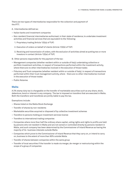There are two types of intermediaries responsible for the collection and payment of the IFTT.

- A. Intermediaries defined as:
- Italian banks and investment companies
- Non-resident financial intermediaries authorised, in their state of residence, to undertake investment activities and financial services that are equivalent to the following:
	- 1. Proprietary trading (Article 1(5)(a) of TUF)
	- 2. Execution of orders on behalf of clients (Article 1(5)(b) of TUF)
	- 3. Receiving and transmission of orders, with the exclusion of activities aimed at putting two or more investors in contact (Article 1(5)(e) of TUF)
- B. Other persons responsible for the payment of the tax:
- Management companies (whether resident within or outside of Italy) undertaking collective or portfolio investment activities, in respect of transactions performed within the investment activity, where there are no other intermediaries involved in the execution of those trades
- Fiduciary and Trust companies (whether resident within or outside of Italy), in respect of transactions performed within their trust management activity, where there are no other intermediaries involved in the execution of those trades
- Public Notaries

#### **Malta**

A 2% stamp duty tax is chargeable on the transfer of marketable securities such as any share, stock, debenture, bond or interest in any company. The tax is imposed on transfers that are executed in Malta. Both the transferor and transferee are jointly liable to pay the tax.

Exemptions include:

- Shares listed on the Malta Stock Exchange
- Transfer of shares by non-residents
- Marketable securities acquired or disposed of by collective investment schemes
- Transfers to persons holding an investment services license
- Transfers to international trading companies
- Companies where more than half the ordinary share capital, voting rights and rights to profits are held by persons who not resident in Malta and are not owned or controlled directly by persons resident in Malta, and such company has been determined by the Commissioner of Inland Revenue as having the majority of its business interests outside Malta
- Companies which prove to the Commissioner of Inland Revenue that they carry on, or intend to carry on, business to the extent of more than 90% outside Malta
- Transfer of shares between companies within the same group
- Transfer of local securities if the transfer is made via merger, de-merger or restructuring within the scope of a group of companies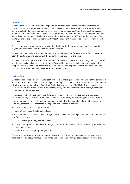#### **Poland**

Since September 9, 2000, Poland has applied a 1% transfer tax on certain sales or exchanges of property rights. The definition of property under the law includes securities, OTC transactions and derivatives (both domestic and foreign) where the exchange occurs in Poland. Exempt from tax are Polish treasury bonds and bills, bills issued by the National Bank of Poland, and some other specified securities as well as securities lending transactions. Additionally, an OTC transaction is exempt from the tax, if one of the counterparties to the transaction is an entity that is registered in Poland for VAT purposes.

The 1% stamp duty is calculated on transactional value, with the buyer responsible for calculation, payment and submission of the tax form to the tax office.

Transactions taking place at a stock exchange or via an investment firm are exempt from the tax and both the declaration and payment of the tax is the responsibility of the buyer.

Following the Polish general election in October 2015, Poland considered introducing an FTT on shares and derivatives based on their notional value. The draft bill started its legislative process but with the parliamentary session of December 2015, Poland dropped its plans to institute a tax on financial transactions, instead deciding to tax bank and insurer assets.

#### **Switzerland**

Switzerland imposes a transfer tax on both domestic and foreign securities when one of the parties is a Swiss Securities Dealer. The transfer of legal ownership on taxable securities (both equities and bonds) with the involvement of a Swiss Securities Dealer is taxed at a rate of 0.15% for Swiss securities, or 0.3% for foreign securities. There are some exceptions, with money market instruments, for example, not subject to the transfer tax.

Transactions in Eurobonds and bonds denominated in a foreign currency are also exempt, as is securities trading by brokers for their own account. The following transaction types are also exempt:

- Initial purchase of shares in resident companies, including those purchased through a bank or a holding company (note that there is a separate issuance tax in some cases)
- Transfer of an option to acquire shares
- Redemption of securities for cancellation
- Initial purchase of bonds issued by foreign debtors and shares in foreign companies not denominated in Swiss currency
- Transfer of foreign money market papers
- Transfer through security brokers of foreign bonds whether in Swiss or foreign currency between two foreign parties and
- Transfers due to intra-group reorganizations

There are also a large number of tax exempt investors i.e., Swiss and foreign collective investment schemes, foreign occupational pension funds and schemes and foreign social security institutions.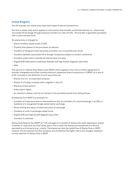#### **United Kingdom**

The UK imposes two stamp duty taxes that impact financial transactions.

The first is stamp duty which applies to instruments that transfer certificated shares (i.e., shares that are traded off exchange through physical transfer) at a rate of 0.5%. The transfer is generally processed with a stock transfer form.

No stamp duty is charged on:

- Share transfers valued under £1,000
- Property that passes to the purchaser by delivery
- Transfers of UK government securities and other non-convertible loan stock
- Transfers between associated UK or foreign companies (subject to certain conditions)
- Transfers under which a beneficial interest does not pass
- Eligible AIM (Alternative Investment Market) and High Growth Segment securities
- Gifts

The second is a Stamp Duty Reserve Tax (SDRT) which applies to the oral or written agreement to transfer chargeable securities (usually electronic paperless share transactions in CREST) at a rate of 0.5%. Included in the definition of such securities are:

- Shares of a U.K.-incorporated company
- Shares of a foreign company with a register in the U.K.
- Share purchase options
- Subscription rights
- An interest in shares, such as an interest in the proceeds earned from selling shares

Exemptions from SDRT are available for:

- Transfers of listed securities to intermediaries who are members of a stock exchange in an EEA, or members of a recognized foreign stock/option exchange
- Stock lending and repos of listed securities on exchange
- Transfers of units in exchange traded funds
- Eligible AIM and High Growth Segment securities
- Transfers to charities

Stamp Duty Reserve Tax (SDRT) at 1.5% will apply if a transfer of shares into some 'depositary receipt schemes' or 'clearance services' takes place. This is when the shares are transferred to a service operated by a third party (e.g., a bank). The shares can then be traded free of Stamp Duty or SDRT, however not all schemes function similarly, and sometimes the higher rate is not charged, leading to normal payment of Stamp Duty or SDRT.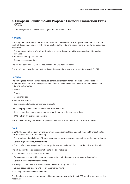## **4. European Countries With Proposed Financial Transaction Taxes (FTT)**

The following countries have drafted legislation for their own FTT.

### **Hungary**

The Hungarian government has approved a common framework for a Hungarian financial transaction tax High-Frequency-Trades (HFT). The tax applies to the following transactions in Hungarian securities accounts:

- The purchase and sale of equities, bonds, and derivatives of both Hungarian and non-Hungarian issuance
- Securities lending transactions
- Certain corporate actions

The tax rate specified is 0.1% for securities and 0.01% for derivatives.

The tax will become effective the first day of the year following the approval of an overall EU FTT.

#### **Portugal**

The Portuguese Parliament has approved general parameters for an FTT but a tax has yet to be implemented by the Portuguese government. The proposed tax covers the sale and purchase of the following instruments:

- Shares
- Bonds
- Money markets
- Participation units
- Derivatives and structured financial products

Under the proposed law, the expected FTT rates would be:

- 0.3% on equities, bonds, money markets, participation units and derivatives
- 0.1% on high-frequency transactions

At the time of writing, there is no proposed timeline for the implementation of a Portuguese FTT.

#### **Spain**

In 2012, the Spanish Ministry of Finance announced a draft bill for a Spanish financial transaction tax (SFTT), which applies to the following:

- The transfer of listed shares of Spanish companies above a certain, unspecified market capitalisation
- Certain high-frequency transactions
- Credit default swaps against EU sovereign debt when the beneficiary is not the holder of the debt

The bill also outlines several exemptions to the tax including:

- The purchase of new shares via an IPO
- Transactions carried out by clearing houses acting in that capacity or by a central custodian
- Certain market-making transactions
- Intra-group transfers of shares as part of a restructuring transaction
- Certain securities lending and repurchase transactions
- The acquisition of convertible bonds

The Spanish government have put on hold plans to move forward with an SFTT, pending progress on the wider EU FTT.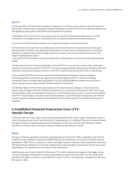#### **EU FTT**

In February 2013, the Commission issued a proposal for a common set of rules for a Council Directive that would in effect create a European Financial Transaction Tax (EU FTT) for the 10 Member States that had agreed to participate in the Enhanced Cooperation Procedure.

According to the current text of the proposal, the tax would be levied at low fixed rates on certain transactions involving financial instruments such as shares, bonds and derivative contracts.

A minimum of nine EU Member States must unanimously agree on the proposed tax.

Parliamentary time must then be scheduled to convert the Directive into domestic law within each Member State. Collection and reporting mechanisms will need to be considered and time should be allowed for system and process changes at both an industry and financial infrastructure level. The target implementation date of

1 January 2017 has not been met and still depends on the political commitment of the larger Member States.

The Proposal allows for some customisation of the EU FTT on a country-by-country basis. Although it outlines a minimum tax rate for the EU FTT, each participating Member State will be allowed to set their respective rates above the given minimum of 0.1% for equities and bonds, and 0.01% on derivatives.

Once enacted, the Directive would require participating Member States to cease imposing or introducing similar transaction tax regimes, and instead apply the EU FTT. However, existing transaction taxes or stamp taxes applicable in non-participating Member States may continue to remain, giving concern that potential "Double Taxation" could result.

The Member States of the Enhanced Cooperation Procedure (Austria, Belgium, France, Germany, Greece, Italy, Portugal, Slovenia, Slovakia and Spain) are in continued discussions to refine the scope, implementation date and operational framework of the Proposal. Areas under scrutiny include whether the EU FTT should apply to equities and some derivatives, or to all financial transactions, and whether the tax should be imposed based on the residence of the investor and/or the investments' country of issuance.

## **5. Established Financial Transaction Taxes (FTT) Outside Europe**

In the past and up to now, many countries have experimented with a wide range of transaction taxes or tried to introduce such kind of tax. Even the U.S. proposed up to 14 different financial transaction taxes through the House of Representatives and the Senate; but all were met with stiff resistance. Some countries continue to levy such taxes today and these are described as follows:

#### **Brazil**

The tax on financial operations (Imposto sobre Operacoes Financeiras, IOF) is regulated under Decree 6, 306/07. It was created to replace the CPMF (Provisional Contribution on Financial Transactions) tax, abolished in 2008. The tax is levied on credit, exchange, insurance and securities transactions executed through financial institutions. It includes intercompany loans and gold transactions. The tax rate varies depending on the taxable event and nature of the transaction.

Modifications were made in May 2016 (Decree 8, 731), which introduced changes to the trigger tax on currency exchange transactions as well as transactions in bonds and securities. For IOF, on the spotpurchase of foreign currencies in cash (IOF-FX) a rate of 1.10% is now imposed, increased from the prior IOF rate of 0.38%.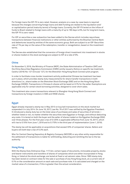For foreign loans the IOF-FX is zero rated. However, analysis on a case-by-case basis is required because the changes concerning foreign loans and debt funding are related to the liquidation and/ or capitalization period (maturity terms) of foreign loans. Currently, the IOF-FX levied on the inflow of funds to Brazil related to foreign loans with a maturity of up to 180 days is 6%, but for long term loans, the IOF-FX is zero-rated.

For IOF on securities a new subsection has been added to the Decree which includes repurchase transactions between financial institutions or other entities authorised by the Brazilian Central Bank and debentures issued by entities of the same economic group. Both are subject to an IOF-Securities rate of 1% per day on the value of the redemption, transfer or renegotiation, based on the investment terms.

The Decree also established that the conversion of foreign direct investment into investment in stocks or shares traded on the stock exchange are subject to IOF at a rate of 0%.

#### **China**

On November 5, 2016, the Ministry of Finance (MOF), the State Administration of Taxation (SAT) and the China Securities Regulatory Commission (CSRC) jointly issued a Notice on specific tax treatment, Caishui (2016) No: 127 (Circular 127), for the Shenzhen-Hong Kong Stock Connect pilot program.

In order to facilitate cross-border investment activity preferential Chinese tax treatment has been put in place, which provides stamp duty measurements for share transfer transactions in both directions (i.e., share trades on the Shenzhen Stock Exchange (SSE) and on the Hong Kong Stock Exchange (HKSE)). Transactions in Chinese A-shares will be taxed on 0.1% for the seller. Exemptions are applicable only for certain stock borrowing activities, designed to cover short sales.

This treatment also covers transactions relevant to Shanghai-Hong Kong Stock Connect and transactions by foreign investors in SSE and HKSE shares.

#### **Egypt**

Egypt already imposed a stamp tax in May 2013 on buy/sell transactions on the stock market but suspended it in July 2014. On June 18, 2017, Law No. 76 of 2017 was ratified by the Egyptian President. It introduced a stamp duty tax on the total value of purchases and sales of securities of all kinds whether listed or not, no matter whether the securities were Egyptian or foreign, and without deducting any costs. It is levied on both the buyer and the seller of shares traded on the Egyptian Exchange (EGX) over three phases. For the first year a tax of 0.125% is applicable (effective from June 19, 2017), which will rise to 0.15% from June 1, 2018 and to 0.175% in the third year of implementation (June 1, 2019).

The stamp tax will be applicable on acquisitions that exceed 33% of companies' shares. Sellers and buyers will both bear a tax of 0.3% each.

Misr for Central Clearing Depository & Registry Company (MCCDR) or any other entity responsible for the settlement of transactions is liable for withholding, deducting and remitting the tax to the tax authority.

#### **Hong Kong**

With the Stamp Duty Ordinance (Cap. 117) Act, certain types of documents, immovable property, stocks and bearer instruments and transfers of shares of companies which are either incorporated in Hong Kong, or listed at the stock exchange, are levied at fixed or ad valorem rates. Since 1993 stamp duty has been levied on contract notes for the sale or purchase of any Hong Kong stock, at a current rate of 0.1% on the consideration amount on each sale and purchase note. It is calculated and charged on the market value of a transaction, if this is greater than the actual consideration.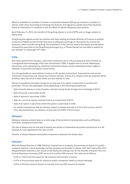Relief is available for transfers of shares or properties between 90% group members, transfers of shares under stock borrowing and lending transactions and regulatory capital securities issued by financial institutions in compliance with the Basel III capital adequacy requirements.

As of February 13, 2015, the transfer of Hong Kong shares or units of ETFs are no longer subject to stamp duty.

Hong Kong has signed certain tax treaties with Italy, leading the Italian Minister of Finance to publish a new list of States and territories that have an adequate exchange of information for income tax purposes, which includes Hong Kong. The enactment of the new list means that equity and derivative transactions executed on the Hong Kong exchanges (e.g., in Prada shares) are now able to qualify for the reduced "on exchange" IFTT rates.

#### **India**

The Indian government imposes a securities transaction tax on the purchase and sale of shares at a recognized stock exchange, which was introduced in 2004. It applies also to bonds, debentures, derivatives, units issued by any collective investment scheme, equity-based government rights or interests in securities and equity mutual funds.

It is not applicable to commodities, currency or off-market transactions. Transactions such as the conversion of securities into shares are, however, exempt. Shares of a company that are acquired whilst privately-held, but which is later listed, are also exempt on sale.

The tax is payable by the seller except for an exercise of an option in securities it would be the purchaser. The tax rate applicable varies depending on the following transactions:

- Sale of equity shares or units of equity-oriented mutual funds through stock exchange: 0.001%
- Sale of futures in securities: 0.01%
- Sale of options in securities: 0.05%
- Sale of a unit of an equity-oriented fund to a mutual fund: 0.001%
- Sale of an option in securities where the option is exercised: 0.125%
- For equity transactions that are delivery-based: purchase and sale is 0.1% of the turnover and for intra-day transactions, purchase is nil and sale is 0.025% of the turnover

#### **Malaysia**

Malaysia imposes a stamp duty on a wide range of documents at varying rates, such as affidavits, contracts, receipts and securities.

The rate of stamp duty for the sale of shares and stocks of marketable securities transactions is 0.3% whereas for loan agreements the rate is 0.5%.

Transfer of assets between associated companies is exempt from stamp duty.

#### **Pakistan**

With the Stamp Duty Act of 1899, Pakistan imposed tax on property, the purchase of shares of a public company listed on a stock exchange and the issuance and transfer of shares. With the Finance Bill 2015, the government inserted a new clause to the Stamp Act adding a tax for the transfer of shares from one Central Depository Company (CDC) account to another CDC account. The rates are as follows:

- 0.5% to 1.5% of the face value for the issuance and transfer of shares
- 0.01% of the purchase value for shares of public companies listed at a stock exchange
- 0.01% of the face value of shares on transfer from one CDC account to another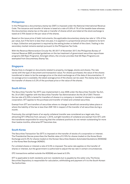#### **Philippines**

In the Philippines a documentary stamp tax (DST) is imposed under the National International Revenue Code. The issuance and transfer of shares is taxed at a rate of 0.6% of 1% of the taxable base whereas the documentary stamp tax on the sale or transfer of shares which are listed at the stock exchange is taxed at 0.75% based on the par value of the shares.

Based on the issue price of debt instruments, the applicable documentary stamp tax rate is 1.5% of the par value, but if the term is less than one year, it is applied in a proportional amount related to its term in days. Collection and payment is required by the selling broker on behalf of the client. Trading in the secondary market remains exempt pursuant to the Philippines Tax Code.

With the Revenue Memorandum Circular No. 95-2017 of November 2017, the Philippines Bureau of Internal Revenue (BIR) provided guidelines on the tax treatment of government securities repurchase programs (GS Repo Programs). Amongst others, the circular provides that GS Repo Programs are exempted from Documentary Stamp Tax.

#### **Singapore**

Stamp Duty is charged on documents related to property, mortgage, stocks and shares. The rate varies with the type of document and transaction value. For shares purchased, the value of the shares transferred is taken to be the average price on the stock exchange as of the date of documentation. If no average price is available, the latest average price of the shares can be used. The stamp duty rate for the transfer of shares is 0.2% of the purchase price or the value of the shares.

#### **South Africa**

The Securities Transfer Tax (STT) was implemented in July 2008 under the Securities Transfer Tax Act, No. 25 of 2007, together with the Securities Transfer Tax Administration Act No 26 of 2007. Therein the tax rate of 0.25% is levied for transfers of shares in a company or member's interest in a related corporation. STT applies to the purchase and transfer of listed and unlisted securities.

Exempt from STT are transfers of securities where no change in beneficial ownership takes place or where the liability of the tax is less than ZAR 100 in respect of the transfer of all securities during a month.

Previously, the outright basis of an equity collateral transfer was considered as a legal sale, thus attracting STT. Effective from January 1, 2016, outright transfers of collateral are exempt from STT, with the transferee responsible for ensuring that the collateral positions do not remain outstanding for more than twelve months, otherwise STT becomes due.

#### **South Korea**

The Securities Transaction Tax (STT) is imposed on the transfer of stocks of a corporation or interest. The Presidential Decree prescribes the flexible rates of 0.15% for shares traded on the Korea Stock Exchange and 0.3% for shares traded on the Korean Securities Dealers Automated Quotations (KOSDAQ) or the Korea New Exchange (KONEX).

For unlisted shares or interest a rate of 0.5% is imposed. The same rate applies on the transfer of shares or interest, but the government is authorized to adjust the tax rate in certain circumstances.

OTC transactions settled outside the KOSDAQ are taxed at 0.5%.

STT is applicable to both residents and non-residents but is payable by the seller only. The Korea Securities Depository is responsible for calculation, withholding and payment of it to the South Korean Tax Authorities.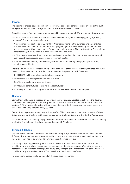#### **Taiwan**

The trading of shares issued by companies, corporate bonds and other securities offered to the public with government approval is subject to securities transaction tax in Taiwan.

Securities exempt from tax include: bonds issued by the government, REITs and bonds with warrants.

The tax is levied on the seller of securities, paid and withheld by the collecting agents (i.e., broker, transferee). The tax rates are as follows:

- A reduced tax rate applies as of 28 April 2017, for transactions on the purchase and sale of listed or tradable shares or share certificates embodying the right to shares issued by companies, new shares from convertible bonds and preferred shares with warrants. The new tax rate of 0.15% will be considered again for a possible further extension after one year.
- 0.1% of the transaction price of corporate bonds and other financial bonds government approved such as certificates issued by securities investment trusts.
- 0.1% for any other security approved by government (i.e., depository receipt, call/put warrant, beneficiary certificate.

There is also a Futures Transaction Tax levied on both sides of the futures with varying rates. The tax is based on the transaction price of the contracts and/or the premium paid. These are:

- 0.0000125% on 30 days interest rate futures contracts
- 0.000125% on 10 years government bonds futures
- 0.002% on stock index futures contracts
- 0.00025% on other futures contracts (i.e., gold futures)
- 0.1% on option contracts or option contracts on futures based on the premium paid

#### **Thailand**

Stamp Duty in Thailand is imposed on many documents with varying rates as set out in the Revenue Code. Documents subject to stamp duty include transfers of shares and debenture certificates with a rate of 0.1% of the transfer value without a specified upper limit. Loan documents are subject at a 0.05% rate with an upper limit of 10,000 Baht.

Exempt from payment of stamp duty is the transfer of Thai government bonds and transfers of share, debenture and certificate of debt issued by a co-operative for agriculture or the Bank of Agriculture.

The transferor has the liability to pay the stamp duty, but for transactions executed offshore the liability is with the first holder of the share transfer document in Thailand.

#### **Trinidad & Tobago**

The sale or the transfer of shares is applicable for stamp duty under the Stamp Duty Act of Trinidad & Tobago. The amount depends on whether the company is registered on the local stock exchange. A valuation report has to be provided by an independent service provider.

The stamp duty charged is the greater of 5% of the value of the shares transferred or 5% of the consideration given, where the company is registered on the stock exchange. Where the company is not registered on the stock exchange, the stamp duty charged is the greater of \$5.00 per \$1000 of the consideration given or \$5.00 per \$1000 of the value of the shares transferred.

No stamp duty applies to shares traded at the local stock exchange.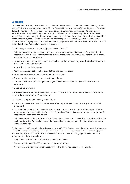#### **Venezuela**

On December 30, 2015, a new Financial Transaction Tax (FTT) law was enacted in Venezuela by Decree No. 2.169. The law was published in the Official Gazette No.6.210 with an effective date of 1st February 2016. The new tax of 0.75% is applicable to so called 'large financial transactions' taking place in Venezuela. The tax applies to legal persons appointed as special taxpayers by the Venezuelan tax authorities, making payments through Venezuelan banks or financial accounts or paying debts outside of the financial systems. The tax will also apply to legal persons who are legally related to special taxpayers and to legal persons or individuals making payments on behalf of special taxpayers. The tax is not deductible for Venezuelan income tax purposes.

The following transactions will be subject to Venezuelan FTT:

- Debits to bank accounts, correspondent accounts, trusts or demand deposits of any kind, liquid assets funds, fiduciary, and other financial market funds or any other financial instrument, in banks and other financial institutions
- Transfers of checks, securities, deposits in custody paid in cash and any other tradable instruments, after their second endorsement
- Acquisition of cashier's checks
- Active transactions between banks and other financial institutions
- Securities transfers between different beneficial holders
- Payment of debts without financial system mediation
- Debits to accounts in private organized payment systems not operated by the Central Bank of Venezuela
- Cross-border payments

State-issued securities, certain tax payments and transfers of funds between accounts of the same beneficial owner are exempt from taxation.

The Decree exempts the following transactions:

- The first endorsement made on checks, securities, deposits paid in cash and any other financial instrument
- The transfer of funds by the account holder between its accounts at a bank or financial institution incorporated and domiciled in the Bolivarian Republic of Venezuela (this exemption is not granted for accounts with more than one holder)
- Debits generated by the purchase, sale and transfer of the custody of securities issued or certified by the Republic or the Venezuelan central Bank, and of securities traded in the agricultural market and the stock exchange

On January 22, 2016, the Administrative Order No. SNAT/2016/0004 was published in the Official Gazette No 40.834 by the tax authority. Banks and financial entities were appointed as FTT withholding agents and a technical instructions manual was established. The FTT withholding agent therefore has to adhere to the following regulations:

- Daily reporting of FTT transactions at the close of business
- Payment and filing of the FTT amounts to the tax authorities
- Weekly filing of detailed information return of FTT withholdings applied (every Sunday)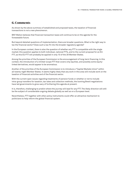## **6. Comments**

As shown by the above summary of established and proposed taxes, the taxation of financial transactions is not a new phenomenon.

BNY Mellon believes that financial transaction taxes will continue to be on the agenda for the foreseeable future.

But beyond detailed questions of implementation, there are broader questions. What is the right way to tax the financial sector? Does such a tax fit into the broader regulatory agenda?

In the European context, there is also the question of whether any FTT is compatible with the single market; this question applies to both individual, national FTTs, and to the current proposal for an EU FTT, as this EU FTT will probably be applied in only 10 of the 28 Member States.

Among the priorities of the European Commission is the encouragement of long-term financing. In this context, the introduction of a limited-scope FTT that covers only equities, and possibly some equitylinked derivatives, would appear to be anomalous.

Another of the priorities of the European Commission is to introduce a "Capital Markets Union" within all twenty-eight Member States. It seems highly likely that any work in this area will include work on the taxation of financial activities and of the financial sector.

With the current open issues regarding treatments of pension funds or whether or not to include intra-group transfers for taxation, tax rates and collection methods, the looming Brexit negotiations have led governments to grow wary of furthering this agenda at present.

It is, therefore, challenging to predict where the journey will lead for any FTT. The likely direction will still be the subject of considerable ongoing debate globally as well as on a European level.

Nevertheless, FTT together with other policy instruments could offer an attractive mechanism to politicians to help reform the global financial system.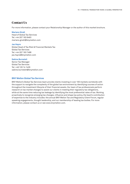## **Contact Us**

For more information, please contact your Relationship Manager or the author of this market brochure.

#### **Mariano Giralt**

Head of Global Tax Services Tel: +44 207 163 6463 mariano.giralt@bnymellon.com

#### **Jas Hayre**

Global Head of Tax Risk & Financial Markets Tax Global Tax Services Tel: +44 207 163 7488 jas.hayre@bnymellon.com

#### **Sabine Burneleit**

Senior Tax Manager Global Tax Services Tel: +49 120 14 1429 sabine.burneleit@bnymellon.com

#### **BNY Mellon Global Tax Services**

BNY Mellon's Global Tax Services team provide clients investing in over 100 markets worldwide with the support to navigate the complexity of the global tax environment by identifying courses of action throughout the investment lifecycle of their financial assets. Our team of tax professionals perform research on tax market changes to assist our clients in meeting their regulatory tax obligations, while at the same time reducing tax leakage by identifying the most preferential rates of tax. Working proactively to recognize emerging tax changes, influence and shape tax policy, the team's contribution of expertise to the industry includes: the annual BNY Mellon Tax and Regulatory Client Forum, regular speaking engagements, thought leadership, and our membership of leading tax bodies. For more information, please contact us or see www.bnymellon.com.